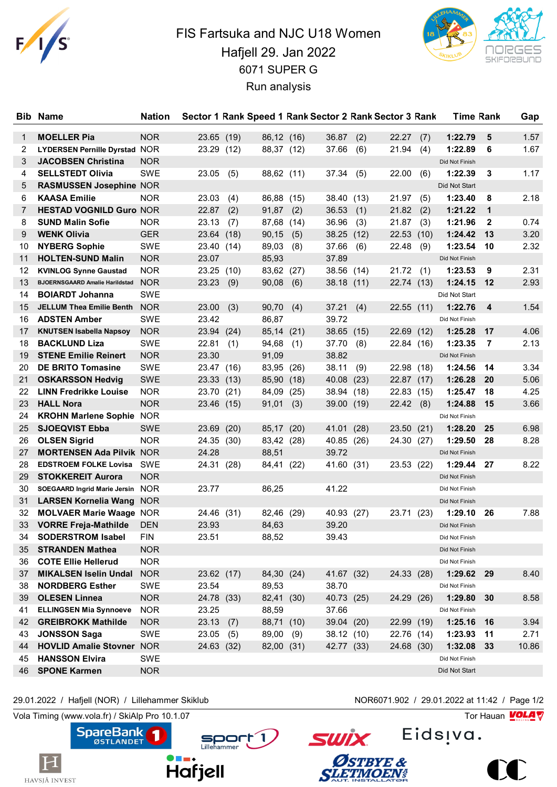

## FIS Fartsuka and NJC U18 Women Hafjell 29. Jan 2022 6071 SUPER G Run analysis



| <b>Bib</b>   | <b>Name</b>                           | <b>Nation</b> |            |      |            |      |            |      | Sector 1 Rank Speed 1 Rank Sector 2 Rank Sector 3 Rank |      | <b>Time Rank</b> |              | Gap   |
|--------------|---------------------------------------|---------------|------------|------|------------|------|------------|------|--------------------------------------------------------|------|------------------|--------------|-------|
| $\mathbf{1}$ | <b>MOELLER Pia</b>                    | <b>NOR</b>    | 23.65 (19) |      | 86,12 (16) |      | 36.87      | (2)  | 22.27                                                  | (7)  | 1:22.79          | 5            | 1.57  |
| 2            | <b>LYDERSEN Pernille Dyrstad NOR</b>  |               | 23.29 (12) |      | 88,37 (12) |      | 37.66      | (6)  | 21.94                                                  | (4)  | 1:22.89          | 6            | 1.67  |
| 3            | <b>JACOBSEN Christina</b>             | <b>NOR</b>    |            |      |            |      |            |      |                                                        |      | Did Not Finish   |              |       |
| 4            | <b>SELLSTEDT Olivia</b>               | SWE           | 23.05      | (5)  | 88,62 (11) |      | 37.34      | (5)  | 22.00                                                  | (6)  | 1:22.39          | 3            | 1.17  |
| 5            | <b>RASMUSSEN Josephine NOR</b>        |               |            |      |            |      |            |      |                                                        |      | Did Not Start    |              |       |
| 6            | <b>KAASA Emilie</b>                   | <b>NOR</b>    | 23.03      | (4)  | 86,88      | (15) | 38.40      | (13) | 21.97                                                  | (5)  | 1:23.40          | 8            | 2.18  |
| 7            | <b>HESTAD VOGNILD Guro NOR</b>        |               | 22.87      | (2)  | 91,87      | (2)  | 36.53      | (1)  | 21.82                                                  | (2)  | 1:21.22          | $\mathbf 1$  |       |
| 8            | <b>SUND Malin Sofie</b>               | <b>NOR</b>    | 23.13      | (7)  | 87,68      | (14) | 36.96      | (3)  | 21.87                                                  | (3)  | 1:21.96          | $\mathbf{2}$ | 0.74  |
| 9            | <b>WENK Olivia</b>                    | <b>GER</b>    | 23.64 (18) |      | 90,15      | (5)  | 38.25      | (12) | 22.53                                                  | (10) | 1:24.42          | 13           | 3.20  |
| 10           | <b>NYBERG Sophie</b>                  | SWE           | 23.40 (14) |      | 89,03      | (8)  | 37.66      | (6)  | 22.48                                                  | (9)  | 1:23.54          | 10           | 2.32  |
| 11           | <b>HOLTEN-SUND Malin</b>              | <b>NOR</b>    | 23.07      |      | 85,93      |      | 37.89      |      |                                                        |      | Did Not Finish   |              |       |
| 12           | <b>KVINLOG Synne Gaustad</b>          | <b>NOR</b>    | 23.25      | (10) | 83,62      | (27) | 38.56      | (14) | 21.72                                                  | (1)  | 1:23.53          | 9            | 2.31  |
| 13           | <b>BJOERNSGAARD Amalie Harildstad</b> | <b>NOR</b>    | 23.23      | (9)  | 90,08      | (6)  | 38.18      | (11) | 22.74 (13)                                             |      | 1:24.15          | 12           | 2.93  |
| 14           | <b>BOIARDT Johanna</b>                | SWE           |            |      |            |      |            |      |                                                        |      | Did Not Start    |              |       |
| 15           | <b>JELLUM Thea Emilie Benth</b>       | <b>NOR</b>    | 23.00      | (3)  | 90,70      | (4)  | 37.21      | (4)  | 22.55(11)                                              |      | 1:22.76          | 4            | 1.54  |
| 16           | <b>ADSTEN Amber</b>                   | <b>SWE</b>    | 23.42      |      | 86,87      |      | 39.72      |      |                                                        |      | Did Not Finish   |              |       |
| 17           | <b>KNUTSEN Isabella Napsoy</b>        | <b>NOR</b>    | 23.94 (24) |      | 85,14 (21) |      | 38.65      | (15) | 22.69 (12)                                             |      | 1:25.28          | 17           | 4.06  |
| 18           | <b>BACKLUND Liza</b>                  | <b>SWE</b>    | 22.81      | (1)  | 94,68      | (1)  | 37.70      | (8)  | 22.84 (16)                                             |      | 1:23.35          | 7            | 2.13  |
| 19           | <b>STENE Emilie Reinert</b>           | <b>NOR</b>    | 23.30      |      | 91,09      |      | 38.82      |      |                                                        |      | Did Not Finish   |              |       |
| 20           | <b>DE BRITO Tomasine</b>              | SWE           | 23.47 (16) |      | 83,95      | (26) | 38.11      | (9)  | 22.98 (18)                                             |      | 1:24.56          | 14           | 3.34  |
| 21           | <b>OSKARSSON Hedvig</b>               | SWE           | 23.33 (13) |      | 85,90      | (18) | 40.08      | (23) | 22.87 (17)                                             |      | 1:26.28          | 20           | 5.06  |
| 22           | <b>LINN Fredrikke Louise</b>          | <b>NOR</b>    | 23.70 (21) |      | 84,09      | (25) | 38.94      | (18) | 22.83 (15)                                             |      | 1:25.47          | 18           | 4.25  |
| 23           | <b>HALL Nora</b>                      | <b>NOR</b>    | 23.46 (15) |      | 91,01      | (3)  | 39.00      | (19) | 22.42                                                  | (8)  | 1:24.88          | 15           | 3.66  |
| 24           | <b>KROHN Marlene Sophie</b>           | <b>NOR</b>    |            |      |            |      |            |      |                                                        |      | Did Not Finish   |              |       |
| 25           | <b>SJOEQVIST Ebba</b>                 | <b>SWE</b>    | 23.69      | (20) | 85,17      | (20) | 41.01      | (28) | 23.50 (21)                                             |      | 1:28.20          | 25           | 6.98  |
| 26           | <b>OLSEN Sigrid</b>                   | <b>NOR</b>    | 24.35 (30) |      | 83,42 (28) |      | 40.85      | (26) | 24.30 (27)                                             |      | 1:29.50          | 28           | 8.28  |
| 27           | <b>MORTENSEN Ada Pilvik NOR</b>       |               | 24.28      |      | 88,51      |      | 39.72      |      |                                                        |      | Did Not Finish   |              |       |
| 28           | <b>EDSTROEM FOLKE Lovisa</b>          | SWE           | 24.31 (28) |      | 84,41 (22) |      | 41.60 (31) |      | 23.53 (22)                                             |      | 1:29.44          | 27           | 8.22  |
| 29           | <b>STOKKEREIT Aurora</b>              | <b>NOR</b>    |            |      |            |      |            |      |                                                        |      | Did Not Finish   |              |       |
| 30           | SOEGAARD Ingrid Marie Jersin NOR      |               | 23.77      |      | 86,25      |      | 41.22      |      |                                                        |      | Did Not Finish   |              |       |
| 31           | <b>LARSEN Kornelia Wang</b>           | <b>NOR</b>    |            |      |            |      |            |      |                                                        |      | Did Not Finish   |              |       |
| 32           | <b>MOLVAER Marie Waage NOR</b>        |               | 24.46 (31) |      | 82,46      | (29) | 40.93      | (27) | 23.71 (23)                                             |      | 1:29.10          | 26           | 7.88  |
| 33           | <b>VORRE Freja-Mathilde</b>           | <b>DEN</b>    | 23.93      |      | 84,63      |      | 39.20      |      |                                                        |      | Did Not Finish   |              |       |
| 34           | <b>SODERSTROM Isabel</b>              | <b>FIN</b>    | 23.51      |      | 88,52      |      | 39.43      |      |                                                        |      | Did Not Finish   |              |       |
| 35           | <b>STRANDEN Mathea</b>                | <b>NOR</b>    |            |      |            |      |            |      |                                                        |      | Did Not Finish   |              |       |
| 36           | <b>COTE Ellie Hellerud</b>            | <b>NOR</b>    |            |      |            |      |            |      |                                                        |      | Did Not Finish   |              |       |
| 37           | <b>MIKALSEN Iselin Undal</b>          | <b>NOR</b>    | 23.62 (17) |      | 84,30 (24) |      | 41.67 (32) |      | 24.33 (28)                                             |      | 1:29.62          | 29           | 8.40  |
| 38           | <b>NORDBERG Esther</b>                | SWE           | 23.54      |      | 89,53      |      | 38.70      |      |                                                        |      | Did Not Finish   |              |       |
| 39           | <b>OLESEN Linnea</b>                  | <b>NOR</b>    | 24.78 (33) |      | 82,41 (30) |      | 40.73 (25) |      | 24.29 (26)                                             |      | 1:29.80          | 30           | 8.58  |
| 41           | <b>ELLINGSEN Mia Synnoeve</b>         | <b>NOR</b>    | 23.25      |      | 88,59      |      | 37.66      |      |                                                        |      | Did Not Finish   |              |       |
| 42           | <b>GREIBROKK Mathilde</b>             | <b>NOR</b>    | 23.13      | (7)  | 88,71 (10) |      | 39.04 (20) |      | 22.99 (19)                                             |      | 1:25.16          | 16           | 3.94  |
| 43           | <b>JONSSON Saga</b>                   | SWE           | 23.05      | (5)  | 89,00      | (9)  | 38.12 (10) |      | 22.76 (14)                                             |      | 1:23.93          | 11           | 2.71  |
| 44           | <b>HOVLID Amalie Stovner</b>          | <b>NOR</b>    | 24.63 (32) |      | 82,00 (31) |      | 42.77 (33) |      | 24.68 (30)                                             |      | 1:32.08          | 33           | 10.86 |
| 45           | <b>HANSSON Elvira</b>                 | SWE           |            |      |            |      |            |      |                                                        |      | Did Not Finish   |              |       |
| 46           | <b>SPONE Karmen</b>                   | <b>NOR</b>    |            |      |            |      |            |      |                                                        |      | Did Not Start    |              |       |
|              |                                       |               |            |      |            |      |            |      |                                                        |      |                  |              |       |

Sport 1

29.01.2022 / Hafjell (NOR) / Lillehammer Skiklub NOR6071.902 / 29.01.2022 at 11:42 / Page 1/2

Vola Timing (www.vola.fr) / SkiAlp Pro 10.1.07  $\sqrt{2}$ 



Eids<sub>!va.</sub>